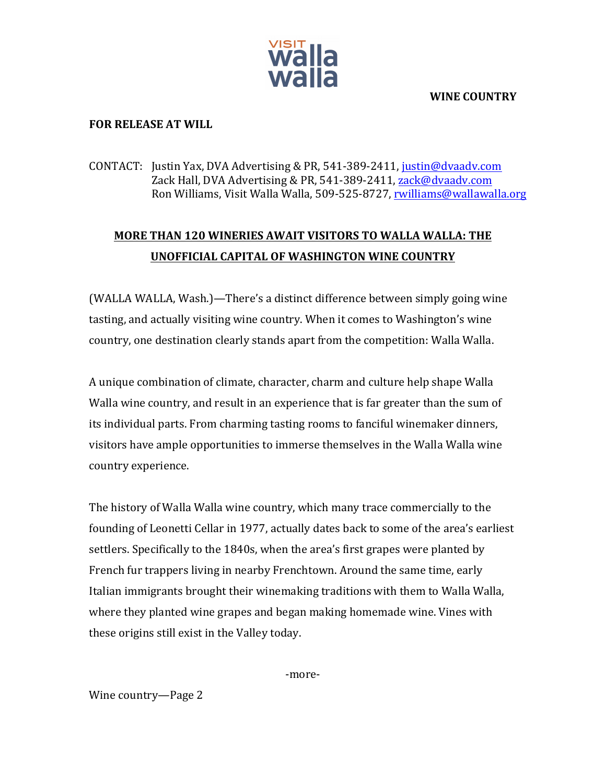

**WINE COUNTRY**

## **FOR RELEASE AT WILL**

## CONTACT: Justin Yax, DVA Advertising & PR, 541-389-2411, justin@dvaadv.com Zack Hall, DVA Advertising & PR, 541-389-2411, zack@dvaadv.com Ron Williams, Visit Walla Walla, 509-525-8727, rwilliams@wallawalla.org

## **MORE THAN 120 WINERIES AWAIT VISITORS TO WALLA WALLA: THE UNOFFICIAL CAPITAL OF WASHINGTON WINE COUNTRY**

(WALLA WALLA, Wash.)—There's a distinct difference between simply going wine tasting, and actually visiting wine country. When it comes to Washington's wine country, one destination clearly stands apart from the competition: Walla Walla.

A unique combination of climate, character, charm and culture help shape Walla Walla wine country, and result in an experience that is far greater than the sum of its individual parts. From charming tasting rooms to fanciful winemaker dinners, visitors have ample opportunities to immerse themselves in the Walla Walla wine country experience.

The history of Walla Walla wine country, which many trace commercially to the founding of Leonetti Cellar in 1977, actually dates back to some of the area's earliest settlers. Specifically to the 1840s, when the area's first grapes were planted by French fur trappers living in nearby Frenchtown. Around the same time, early Italian immigrants brought their winemaking traditions with them to Walla Walla, where they planted wine grapes and began making homemade wine. Vines with these origins still exist in the Valley today.

-more-

Wine country—Page 2